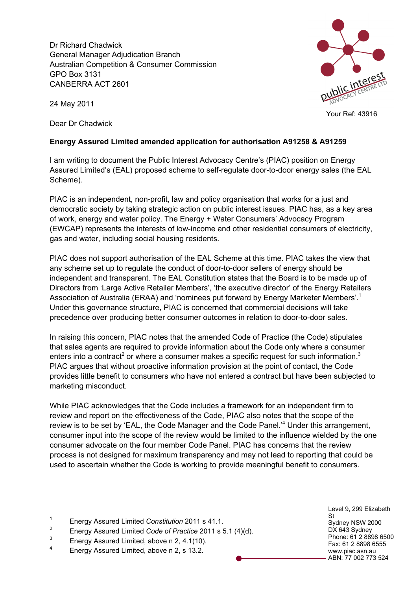Dr Richard Chadwick General Manager Adjudication Branch Australian Competition & Consumer Commission GPO Box 3131 CANBERRA ACT 2601



24 May 2011

Dear Dr Chadwick

## **Energy Assured Limited amended application for authorisation A91258 & A91259**

I am writing to document the Public Interest Advocacy Centre's (PIAC) position on Energy Assured Limited's (EAL) proposed scheme to self-regulate door-to-door energy sales (the EAL Scheme).

PIAC is an independent, non-profit, law and policy organisation that works for a just and democratic society by taking strategic action on public interest issues. PIAC has, as a key area of work, energy and water policy. The Energy + Water Consumers' Advocacy Program (EWCAP) represents the interests of low-income and other residential consumers of electricity, gas and water, including social housing residents.

PIAC does not support authorisation of the EAL Scheme at this time. PIAC takes the view that any scheme set up to regulate the conduct of door-to-door sellers of energy should be independent and transparent. The EAL Constitution states that the Board is to be made up of Directors from 'Large Active Retailer Members', 'the executive director' of the Energy Retailers Association of Australia (ERAA) and 'nominees put forward by Energy Marketer Members'.<sup>1</sup> Under this governance structure, PIAC is concerned that commercial decisions will take precedence over producing better consumer outcomes in relation to door-to-door sales.

In raising this concern, PIAC notes that the amended Code of Practice (the Code) stipulates that sales agents are required to provide information about the Code only where a consumer enters into a contract<sup>2</sup> or where a consumer makes a specific request for such information.<sup>3</sup> PIAC argues that without proactive information provision at the point of contact, the Code provides little benefit to consumers who have not entered a contract but have been subjected to marketing misconduct.

While PIAC acknowledges that the Code includes a framework for an independent firm to review and report on the effectiveness of the Code, PIAC also notes that the scope of the review is to be set by 'EAL, the Code Manager and the Code Panel.<sup>4</sup> Under this arrangement, consumer input into the scope of the review would be limited to the influence wielded by the one consumer advocate on the four member Code Panel. PIAC has concerns that the review process is not designed for maximum transparency and may not lead to reporting that could be used to ascertain whether the Code is working to provide meaningful benefit to consumers.

Level 9, 299 Elizabeth St Sydney NSW 2000 DX 643 Sydney Phone: 61 2 8898 6500 Fax: 61 2 8898 6555 www.piac.asn.au ABN: 77 002 773 524

 <sup>1</sup> Energy Assured Limited *Constitution* 2011 s 41.1.

<sup>2</sup> Energy Assured Limited *Code of Practice* 2011 s 5.1 (4)(d).

 $\frac{3}{4}$  Energy Assured Limited, above n 2, 4.1(10).

Energy Assured Limited, above n 2, s 13.2.